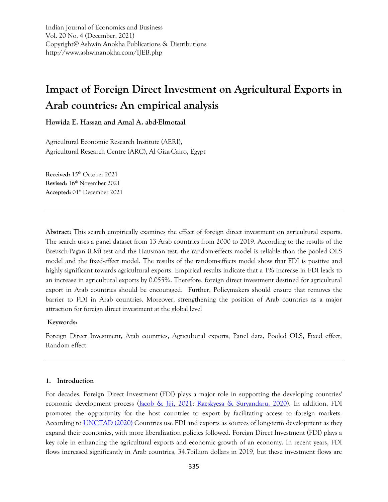Indian Journal of Economics and Business Vol. 20 No. 4 (December, 2021) Copyright@ Ashwin Anokha Publications & Distributions http://www.ashwinanokha.com/IJEB.php

# **Impact of Foreign Direct Investment on Agricultural Exports in Arab countries: An empirical analysis**

**Howida E. Hassan and Amal A. abd-Elmotaal**

Agricultural Economic Research Institute (AERI), Agricultural Research Centre (ARC), Al Giza-Cairo, Egypt

**Received:** 15th October 2021 **Revised:** 16th November 2021 **Accepted:** 01st December 2021

**Abstract:** This search empirically examines the effect of foreign direct investment on agricultural exports. The search uses a panel dataset from 13 Arab countries from 2000 to 2019. According to the results of the Breusch-Pagan (LM) test and the Hausman test, the random-effects model is reliable than the pooled OLS model and the fixed-effect model. The results of the random-effects model show that FDI is positive and highly significant towards agricultural exports. Empirical results indicate that a 1% increase in FDI leads to an increase in agricultural exports by 0.055%. Therefore, foreign direct investment destined for agricultural export in Arab countries should be encouraged. Further, Policymakers should ensure that removes the barrier to FDI in Arab countries. Moreover, strengthening the position of Arab countries as a major attraction for foreign direct investment at the global level

## **Keywords:**

Foreign Direct Investment, Arab countries, Agricultural exports, Panel data, Pooled OLS, Fixed effect, Random effect

# **1. Introduction**

For decades, Foreign Direct Investment (FDI) plays a major role in supporting the developing countries' economic development process [\(Jacob & Jiji, 2021;](#page-11-0) [Raeskyesa & Suryandaru, 2020\)](#page-12-0). In addition, FDI promotes the opportunity for the host countries to export by facilitating access to foreign markets. According to [UNCTAD \(2020\)](#page-12-1) Countries use FDI and exports as sources of long-term development as they expand their economies, with more liberalization policies followed. Foreign Direct Investment (FDI) plays a key role in enhancing the agricultural exports and economic growth of an economy. In recent years, FDI flows increased significantly in Arab countries, 34.7billion dollars in 2019, but these investment flows are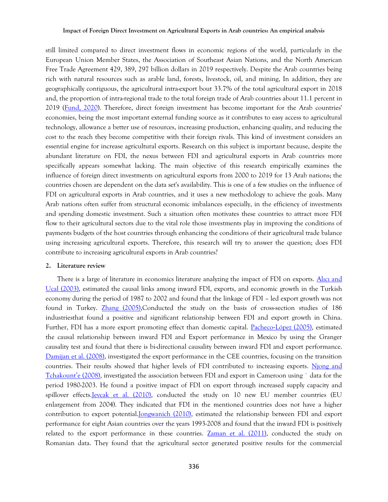still limited compared to direct investment flows in economic regions of the world, particularly in the European Union Member States, the Association of Southeast Asian Nations, and the North American Free Trade Agreement 429, 389, 297 billion dollars in 2019 respectively. Despite the Arab countries being rich with natural resources such as arable land, forests, livestock, oil, and mining, In addition, they are geographically contiguous, the agricultural intra-export bout 33.7% of the total agricultural export in 2018 and, the proportion of intra-regional trade to the total foreign trade of Arab countries about 11.1 percent in 2019 [\(Fund, 2020\)](#page-10-0). Therefore, direct foreign investment has become important for the Arab countries' economies, being the most important external funding source as it contributes to easy access to agricultural technology, allowance a better use of resources, increasing production, enhancing quality, and reducing the cost to the reach they become competitive with their foreign rivals. This kind of investment considers an essential engine for increase agricultural exports. Research on this subject is important because, despite the abundant literature on FDI, the nexus between FDI and agricultural exports in Arab countries more specifically appears somewhat lacking. The main objective of this research empirically examines the influence of foreign direct investments on agricultural exports from 2000 to 2019 for 13 Arab nations; the countries chosen are dependent on the data set's availability. This is one of a few studies on the influence of FDI on agricultural exports in Arab countries, and it uses a new methodology to achieve the goals. Many Arab nations often suffer from structural economic imbalances especially, in the efficiency of investments and spending domestic investment. Such a situation often motivates these countries to attract more FDI flow to their agricultural sectors due to the vital role those investments play in improving the conditions of payments budgets of the host countries through enhancing the conditions of their agricultural trade balance using increasing agricultural exports. Therefore, this research will try to answer the question; does FDI contribute to increasing agricultural exports in Arab countries?

#### **2. Literature review**

There is a large of literature in economics literature analyzing the impact of FDI on exports. Alici and Ucal (2003), estimated the causal links among inward FDI, exports, and economic growth in the Turkish economy during the period of 1987 to 2002 and found that the linkage of FDI – led export growth was not found in Turkey. [Zhang \(2005\),](#page-12-2)Conducted the study on the basis of cross-section studies of 186 industriesthat found a positive and significant relationship between FDI and export growth in China. Further, FDI has a more export promoting effect than domestic capital. Pacheco-[López \(2005\),](#page-11-1) estimated the causal relationship between inward FDI and Export performance in Mexico by using the Granger causality test and found that there is bi-directional causality between inward FDI and export performance. [Damijan et al. \(2008\),](#page-10-2) investigated the export performance in the CEE countries, focusing on the transition countries. Their results showed that higher levels of FDI contributed to increasing exports. [Njong and](#page-11-2)  Tchakount'e (2008), investigated the association between FDI and export in Cameroon using ` data for the period 1980-2003. He found a positive impact of FDI on export through increased supply capacity and spillover effects.*Jevcak et al.* (2010), conducted the study on 10 new EU member countries (EU enlargement from 2004). They indicated that FDI in the mentioned countries does not have a higher contribution to export potentia[l.Jongwanich \(2010\),](#page-11-4) estimated the relationship between FDI and export performance for eight Asian countries over the years 1993-2008 and found that the inward FDI is positively related to the export performance in these countries. [Zaman et al. \(2011\),](#page-12-3) conducted the study on Romanian data. They found that the agricultural sector generated positive results for the commercial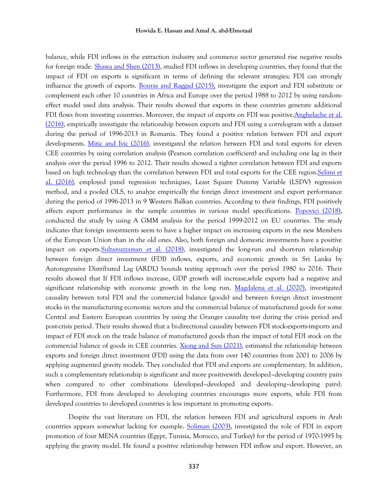balance, while FDI inflows in the extraction industry and commerce sector generated rise negative results for foreign trade. [Shawa and Shen \(2013\),](#page-12-4) studied FDI inflows in developing countries, they found that the impact of FDI on exports is significant in terms of defining the relevant strategies; FDI can strongly influence the growth of exports. [Bouras and Raggad \(2015\),](#page-10-3) investigate the export and FDI substitute or complement each other 10 countries in Africa and Europe over the period 1988 to 2012 by using randomeffect model used data analysis. Their results showed that exports in these countries generate additional FDI flows from investing countries. Moreover, the impact of exports on FDI was positive. Anghelache et al. (2016), empirically investigate the relationship between exports and FDI using a correlogram with a dataset during the period of 1996-2013 in Romania. They found a positive relation between FDI and export developments. [Mitic and Ivic \(2016\),](#page-11-5) investigated the relation between FDI and total exports for eleven CEE countries by using correlation analysis (Pearson correlation coefficient) and including one lag in their analysis over the period 1996 to 2012. Their results showed a tighter correlation between FDI and exports based on high technology than the correlation between FDI and total exports for the CEE region. Selimi et al. (2016), employed panel regression techniques, Least Square Dummy Variable (LSDV) regression method, and a pooled OLS, to analyze empirically the foreign direct investment and export performance during the period of 1996-2013 in 9 Western Balkan countries. According to their findings, FDI positively affects export performance in the sample countries in various model specifications. [Popovici \(2018\),](#page-11-6) conducted the study by using A GMM analysis for the period 1999-2012 on EU countries. The study indicates that foreign investments seem to have a higher impact on increasing exports in the new Members of the European Union than in the old ones. Also, both foreign and domestic investments have a positive impact on export[s.Sultanuzzaman et al. \(2018\),](#page-12-6) investigated the long-run and short-run relationship between foreign direct investment (FDI) inflows, exports, and economic growth in Sri Lanka by Autoregressive Distributed Lag (ARDL) bounds testing approach over the period 1980 to 2016. Their results showed that If FDI inflows increase, GDP growth will increase,while exports had a negative and significant relationship with economic growth in the long run. [Magdalena et al. \(2020\),](#page-11-7) investigated causality between total FDI and the commercial balance (goods) and between foreign direct investment stocks in the manufacturing economic sectors and the commercial balance of manufactured goods for some Central and Eastern European countries by using the Granger causality test during the crisis period and post-crisis period. Their results showed that a bi-directional causality between FDI stock-exports-imports and impact of FDI stock on the trade balance of manufactured goods than the impact of total FDI stock on the commercial balance of goods in CEE countries. [Xiong and Sun \(2021\),](#page-12-7) estimated the relationship between exports and foreign direct investment (FDI) using the data from over 140 countries from 2001 to 2006 by applying augmented gravity models. They concluded that FDI and exports are complementary. In addition, such a complementary relationship is significant and more positivewith developed–developing country pairs when compared to other combinations (developed–developed and developing–developing pairs). Furthermore, FDI from developed to developing countries encourages more exports, while FDI from developed countries to developed countries is less important in promoting exports.

Despite the vast literature on FDI, the relation between FDI and agricultural exports in Arab countries appears somewhat lacking for example. [Soliman \(2003\),](#page-12-8) investigated the role of FDI in export promotion of four MENA countries (Egypt, Tunisia, Morocco, and Turkey) for the period of 1970-1995 by applying the gravity model. He found a positive relationship between FDI inflow and export. However, an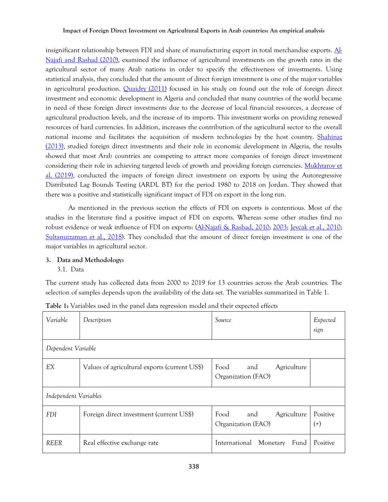insignificant relationship between FDI and share of manufacturing export in total merchandise exports. [Al-](#page-10-5)Najafi and Rashad (2010), examined the influence of agricultural investments on the growth rates in the agricultural sector of many Arab nations in order to specify the effectiveness of investments. Using statistical analysis, they concluded that the amount of direct foreign investment is one of the major variables in agricultural production. [Quaidry \(2011\)](#page-12-9) focused in his study on found out the role of foreign direct investment and economic development in Algeria and concluded that many countries of the world became in need of these foreign direct investments due to the decrease of local financial resources, a decrease of agricultural production levels, and the increase of its imports. This investment works on providing renewed resources of hard currencies. In addition, increases the contribution of the agricultural sector to the overall national income and facilitates the acquisition of modern technologies by the host country. [Shahinaz](#page-12-10)  (2013), studied foreign direct investments and their role in economic development in Algeria, the results showed that most Arab countries are competing to attract more companies of foreign direct investment considering their role in achieving targeted levels of growth and providing foreign currencies. Mukhtarov et al. (2019), conducted the impacts of foreign direct investment on exports by using the Autoregressive Distributed Lag Bounds Testing (ARDL BT) for the period 1980 to 2018 on Jordan. They showed that there was a positive and statistically significant impact of FDI on export in the long run.

As mentioned in the previous section the effects of FDI on exports is contentious. Most of the studies in the literature find a positive impact of FDI on exports. Whereas some other studies find no robust evidence or weak influence of FDI on exports: [\(Al-Najafi & Rashad, 2010;](#page-10-5) [2003;](#page-10-1) [Jevcak et al., 2010;](#page-11-3) [Sultanuzzaman et al., 2018\)](#page-12-6). They concluded that the amount of direct foreign investment is one of the major variables in agricultural sector.

## **3. Data and Methodology:**

3.1. Data

The current study has collected data from 2000 to 2019 for 13 countries across the Arab countries. The selection of samples depends upon the availability of the data set. The variables summarized in Table 1.

| Variable              | Description                                   | Source                                           | Expected<br>sign     |
|-----------------------|-----------------------------------------------|--------------------------------------------------|----------------------|
| Dependent Variable    |                                               |                                                  |                      |
| EΧ                    | Values of agricultural exports (current US\$) | Food<br>Agriculture<br>and<br>Organization (FAO) |                      |
| Independent Variables |                                               |                                                  |                      |
| <b>FDI</b>            | Foreign direct investment (current US\$)      | Food<br>Agriculture<br>and<br>Organization (FAO) | Positive<br>$^{(+)}$ |
| <b>REER</b>           | Real effective exchange rate                  | International<br>Monetary<br>Fund                | Positive             |

**Table 1:** Variables used in the panel data regression model and their expected effects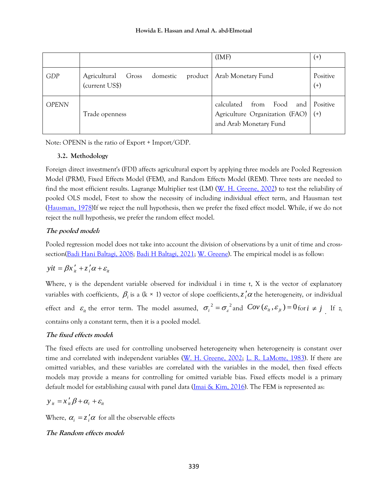|              |                                                                  | (IMF)                                                                                         | $^{(+)}$             |
|--------------|------------------------------------------------------------------|-----------------------------------------------------------------------------------------------|----------------------|
| GDP          | Agricultural<br>product  <br>domestic<br>Gross<br>(current US\$) | Arab Monetary Fund                                                                            | Positive<br>$^{(+)}$ |
| <b>OPENN</b> | Trade openness                                                   | Food<br>calculated<br>and<br>from<br>Agriculture Organization (FAO)<br>and Arab Monetary Fund | Positive<br>$^{(+)}$ |

Note: OPENN is the ratio of Export + Import/GDP.

# **3.2. Methodology**

Foreign direct investment's (FDI) affects agricultural export by applying three models are Pooled Regression Model (PRM), Fixed Effects Model (FEM), and Random Effects Model (REM). Three tests are needed to find the most efficient results. Lagrange Multiplier test (LM) [\(W. H. Greene, 2002\)](#page-11-9) to test the reliability of pooled OLS model, F-test to show the necessity of including individual effect term, and Hausman test [\(Hausman, 1978\)](#page-11-10)If we reject the null hypothesis, then we prefer the fixed effect model. While, if we do not reject the null hypothesis, we prefer the random effect model.

# **The pooled model:**

Pooled regression model does not take into account the division of observations by a unit of time and cross-section[\(Badi Hani Baltagi, 2008;](#page-10-6) [Badi H Baltagi, 2021;](#page-10-7) [W. Greene\)](#page-10-8). The empirical model is as follow:

$$
yit = \beta x'_{it} + z'_{i} \alpha + \varepsilon_{it}
$$

Where, y is the dependent variable observed for individual i in time t, X is the vector of explanatory variables with coefficients,  $\beta_i$  is a (k  $\times$  1) vector of slope coefficients,  $z_i'\alpha$  the heterogeneity, or individual effect and  $\varepsilon_i$  the error term. The model assumed,  $\sigma_i^2 = \sigma_{\varepsilon}^2$  and  $Cov(\varepsilon_i, \varepsilon_j) = 0$  for  $i \neq j$ . If  $z_i$ contains only a constant term, then it is a pooled model.

# **The fixed effects model:**

The fixed effects are used for controlling unobserved heterogeneity when heterogeneity is constant over time and correlated with independent variables [\(W. H. Greene, 2002;](#page-11-9) [L. R. LaMotte, 1983\)](#page-11-11). If there are omitted variables, and these variables are correlated with the variables in the model, then fixed effects models may provide a means for controlling for omitted variable bias. Fixed effects model is a primary default model for establishing causal with panel data (*Imai & Kim*, 2016). The FEM is represented as:

$$
y_{it} = x_{it}' \beta + \alpha_i + \varepsilon_{it}
$$

Where,  $\alpha_i = z_i' \alpha$  for all the observable effects

# **The Random effects model:**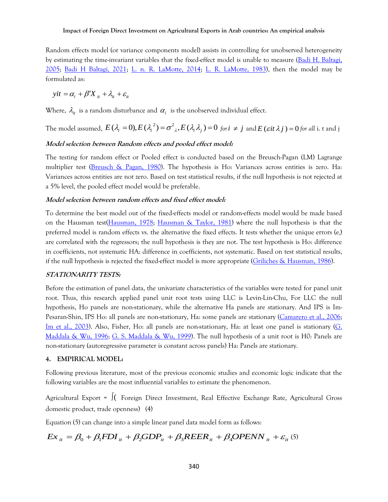Random effects model (or variance components model) assists in controlling for unobserved heterogeneity by estimating the time-invariant variables that the fixed-effect model is unable to measure [\(Badi H. Baltagi,](#page-10-9)  [2005;](#page-10-9) [Badi H Baltagi, 2021;](#page-10-7) [L. n. R. LaMotte, 2014;](#page-11-13) [L. R. LaMotte, 1983\)](#page-11-11), then the model may be formulated as:

 $yit = \alpha_i + \beta' X_{i} + \lambda_{i} + \varepsilon_{i}$ 

Where,  $\lambda_{it}$  is a random disturbance and  $\alpha_i$  is the unobserved individual effect.

The model assumed,  $E(\lambda_i = 0), E(\lambda_i^2) = \sigma_{\lambda_i}^2, E(\lambda_i \lambda_j) = 0$  *for*  $i \neq j$  and  $E(\text{sit }\lambda_j) = 0$  *for all* i. t and j

## **Model selection between Random effects and pooled effect model:**

The testing for random effect or Pooled effect is conducted based on the Breusch-Pagan (LM) Lagrange multiplier test [\(Breusch & Pagan, 1980\)](#page-10-10). The hypothesis is Ho: Variances across entities is zero. Ha: Variances across entities are not zero. Based on test statistical results, if the null hypothesis is not rejected at a 5% level, the pooled effect model would be preferable.

## **Model selection between random effects and fixed effect model:**

To determine the best model out of the fixed-effects model or random-effects model would be made based on the Hausman test[\(Hausman, 1978;](#page-11-10) [Hausman & Taylor, 1981\)](#page-11-14) where the null hypothesis is that the preferred model is random effects vs. the alternative the fixed effects. It tests whether the unique errors (e<sub>i</sub>) are correlated with the regressors; the null hypothesis is they are not. The test hypothesis is Ho: difference in coefficients, not systematic HA: difference in coefficients, not systematic. Based on test statistical results, if the null hypothesis is rejected the fixed-effect model is more appropriate [\(Griliches & Hausman, 1986\)](#page-11-15).

#### **STATIONARITY TESTS:**

Before the estimation of panel data, the univariate characteristics of the variables were tested for panel unit root. Thus, this research applied panel unit root tests using LLC is Levin-Lin-Chu, For LLC the null hypothesis, Ho panels are non-stationary, while the alternative Ha panels are stationary. And IPS is Im-Pesaran-Shin, IPS Ho: all panels are non-stationary, Ha: some panels are stationary [\(Camarero et al., 2006;](#page-10-11) [Im et al., 2003\)](#page-11-16). Also, Fisher, Ho: all panels are non-stationary, Ha: at least one panel is stationary [\(G.](#page-11-17)  [Maddala & Wu, 1996;](#page-11-17) [G. S. Maddala & Wu, 1999\)](#page-11-18). The null hypothesis of a unit root is H0: Panels are non-stationary (autoregressive parameter is constant across panels) Ha: Panels are stationary.

#### **4. EMPIRICAL MODEL:**

Following previous literature, most of the previous economic studies and economic logic indicate that the following variables are the most influential variables to estimate the phenomenon.

Agricultural Export = ( Foreign Direct Investment, Real Effective Exchange Rate, Agricultural Gross domestic product, trade openness) (4)

Equation (5) can change into a simple linear panel data model form as follows:

domestic product, trade openness) (4)  
Equation (5) can change into a simple linear panel data model form as follows:  

$$
Ex_{it} = \beta_0 + \beta_1 FDI_{it} + \beta_2 GDP_{it} + \beta_3 REER_{it} + \beta_4 OPENN_{it} + \varepsilon_{it}
$$
 (5)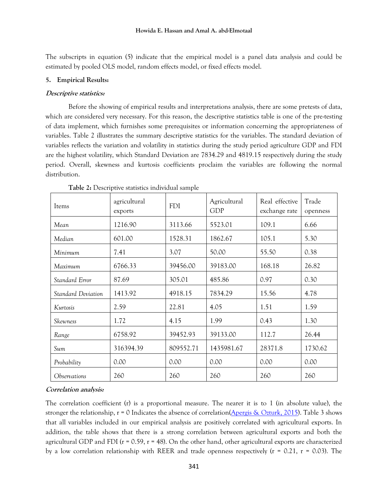The subscripts in equation (5) indicate that the empirical model is a panel data analysis and could be estimated by pooled OLS model, random effects model, or fixed effects model.

#### **5. Empirical Results:**

#### **Descriptive statistics:**

Before the showing of empirical results and interpretations analysis, there are some pretests of data, which are considered very necessary. For this reason, the descriptive statistics table is one of the pre-testing of data implement, which furnishes some prerequisites or information concerning the appropriateness of variables. Table 2 illustrates the summary descriptive statistics for the variables. The standard deviation of variables reflects the variation and volatility in statistics during the study period agriculture GDP and FDI are the highest volatility, which Standard Deviation are 7834.29 and 4819.15 respectively during the study period. Overall, skewness and kurtosis coefficients proclaim the variables are following the normal distribution.

| Items               | agricultural<br>exports | <b>FDI</b> | Agricultural<br><b>GDP</b> | Real effective<br>exchange rate | Trade<br>openness |
|---------------------|-------------------------|------------|----------------------------|---------------------------------|-------------------|
| Mean                | 1216.90                 | 3113.66    | 5523.01                    | 109.1                           | 6.66              |
| Median              | 601.00                  | 1528.31    | 1862.67                    | 105.1                           | 5.30              |
| Minimum             | 7.41                    | 3.07       | 50.00                      | 55.50                           | 0.38              |
| Maximum             | 6766.33                 | 39456.00   | 39183.00                   | 168.18                          | 26.82             |
| Standard Error      | 87.69                   | 305.01     | 485.86                     | 0.97                            | 0.30              |
| Standard Deviation  | 1413.92                 | 4918.15    | 7834.29                    | 15.56                           | 4.78              |
| Kurtosis            | 2.59                    | 22.81      | 4.05                       | 1.51                            | 1.59              |
| Skewness            | 1.72                    | 4.15       | 1.99                       | 0.43                            | 1.30              |
| Range               | 6758.92                 | 39452.93   | 39133.00                   | 112.7                           | 26.44             |
| Sum                 | 316394.39               | 809552.71  | 1435981.67                 | 28371.8                         | 1730.62           |
| Probability         | 0.00                    | 0.00       | 0.00                       | 0.00                            | 0.00              |
| <i>Observations</i> | 260                     | 260        | 260                        | 260                             | 260               |

**Table 2:** Descriptive statistics individual sample

#### **Correlation analysis:**

The correlation coefficient (r) is a proportional measure. The nearer it is to 1 (in absolute value), the stronger the relationship,  $r = 0$  Indicates the absence of correlation[\(Apergis & Ozturk, 2015\)](#page-10-12). Table 3 shows that all variables included in our empirical analysis are positively correlated with agricultural exports. In addition, the table shows that there is a strong correlation between agricultural exports and both the agricultural GDP and FDI ( $r = 0.59$ ,  $r = 48$ ). On the other hand, other agricultural exports are characterized by a low correlation relationship with REER and trade openness respectively ( $r = 0.21$ ,  $r = 0.03$ ). The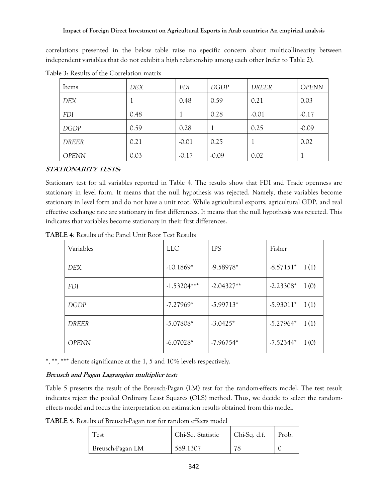correlations presented in the below table raise no specific concern about multicollinearity between independent variables that do not exhibit a high relationship among each other (refer to Table 2).

| Items        | DEX  | <b>FDI</b> | <b>DGDP</b> | <b>DREER</b> | <b>OPENN</b> |
|--------------|------|------------|-------------|--------------|--------------|
| <b>DEX</b>   | T    | 0.48       | 0.59        | 0.21         | 0.03         |
| <b>FDI</b>   | 0.48 |            | 0.28        | $-0.01$      | $-0.17$      |
| <b>DGDP</b>  | 0.59 | 0.28       |             | 0.25         | $-0.09$      |
| <b>DREER</b> | 0.21 | $-0.01$    | 0.25        |              | 0.02         |
| <b>OPENN</b> | 0.03 | $-0.17$    | $-0.09$     | 0.02         |              |

**Table 3**: Results of the Correlation matrix

# **STATIONARITY TESTS:**

Stationary test for all variables reported in Table 4. The results show that FDI and Trade openness are stationary in level form. It means that the null hypothesis was rejected. Namely, these variables become stationary in level form and do not have a unit root. While agricultural exports, agricultural GDP, and real effective exchange rate are stationary in first differences. It means that the null hypothesis was rejected. This indicates that variables become stationary in their first differences.

| Variables    | <b>LLC</b>    | <b>IPS</b>   | Fisher      |      |
|--------------|---------------|--------------|-------------|------|
| DEX          | $-10.1869*$   | -9.58978*    | $-8.57151*$ | I(1) |
| <b>FDI</b>   | $-1.53204***$ | $-2.04327**$ | $-2.23308*$ | I(0) |
| DGDP         | $-7.27969*$   | $-5.99713*$  | $-5.93011*$ | I(1) |
| DREER        | $-5.07808*$   | $-3.0425*$   | $-5.27964*$ | I(1) |
| <b>OPENN</b> | $-6.07028*$   | $-7.96754*$  | $-7.52344*$ | I(0) |

**TABLE 4**: Results of the Panel Unit Root Test Results

\*, \*\*, \*\*\* denote significance at the 1, 5 and 10% levels respectively.

# **Breusch and Pagan Lagrangian multiplier test:**

Table 5 presents the result of the Breusch-Pagan (LM) test for the random-effects model. The test result indicates reject the pooled Ordinary Least Squares (OLS) method. Thus, we decide to select the randomeffects model and focus the interpretation on estimation results obtained from this model.

**TABLE 5**: Results of Breusch-Pagan test for random effects model

| Test             | Chi-Sq. Statistic | Chi-Sq. d.f. | Prob. |
|------------------|-------------------|--------------|-------|
| Breusch-Pagan LM | 589.1307          | 78           |       |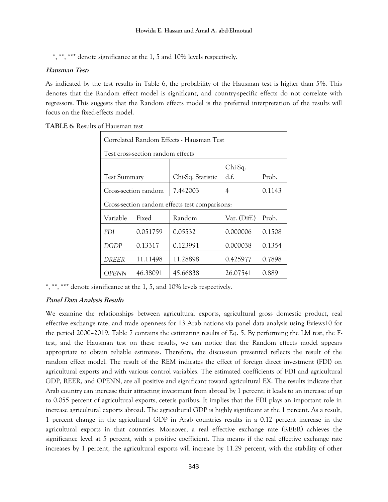\*, \*\*, \*\*\* denote significance at the 1, 5 and 10% levels respectively.

## **Hausman Test:**

As indicated by the test results in Table 6, the probability of the Hausman test is higher than 5%. This denotes that the Random effect model is significant, and country-specific effects do not correlate with regressors. This suggests that the Random effects model is the preferred interpretation of the results will focus on the fixed-effects model.

| Correlated Random Effects - Hausman Test                             |                                          |          |          |        |  |  |  |
|----------------------------------------------------------------------|------------------------------------------|----------|----------|--------|--|--|--|
|                                                                      | Test cross-section random effects        |          |          |        |  |  |  |
| Chi-Sq.<br>d.f.<br>Prob.<br>Chi-Sq. Statistic<br><b>Test Summary</b> |                                          |          |          |        |  |  |  |
|                                                                      | Cross-section random                     | 7.442003 | 4        | 0.1143 |  |  |  |
| Cross-section random effects test comparisons:                       |                                          |          |          |        |  |  |  |
| Variable                                                             | Prob.<br>Fixed<br>Random<br>Var. (Diff.) |          |          |        |  |  |  |
| <b>FDI</b>                                                           | 0.051759                                 | 0.05532  | 0.000006 | 0.1508 |  |  |  |
| <b>DGDP</b>                                                          | 0.13317                                  | 0.123991 | 0.000038 | 0.1354 |  |  |  |
| <b>DREER</b>                                                         | 11.11498                                 | 11.28898 | 0.425977 | 0.7898 |  |  |  |
| <b>OPENN</b>                                                         | 46.38091                                 | 45.66838 | 26.07541 | 0.889  |  |  |  |

**TABLE 6**: Results of Hausman test

\*, \*\*, \*\*\* denote significance at the 1, 5, and 10% levels respectively.

# **Panel Data Analysis Result:**

We examine the relationships between agricultural exports, agricultural gross domestic product, real effective exchange rate, and trade openness for 13 Arab nations via panel data analysis using Eviews10 for the period 2000–2019. Table 7 contains the estimating results of Eq. 5. By performing the LM test, the Ftest, and the Hausman test on these results, we can notice that the Random effects model appears appropriate to obtain reliable estimates. Therefore, the discussion presented reflects the result of the random effect model. The result of the REM indicates the effect of foreign direct investment (FDI) on agricultural exports and with various control variables. The estimated coefficients of FDI and agricultural GDP, REER, and OPENN, are all positive and significant toward agricultural EX. The results indicate that Arab country can increase their attracting investment from abroad by 1 percent; it leads to an increase of up to 0.055 percent of agricultural exports, ceteris paribus. It implies that the FDI plays an important role in increase agricultural exports abroad. The agricultural GDP is highly significant at the 1 percent. As a result, 1 percent change in the agricultural GDP in Arab countries results in a 0.12 percent increase in the agricultural exports in that countries. Moreover, a real effective exchange rate (REER) achieves the significance level at 5 percent, with a positive coefficient. This means if the real effective exchange rate increases by 1 percent, the agricultural exports will increase by 11.29 percent, with the stability of other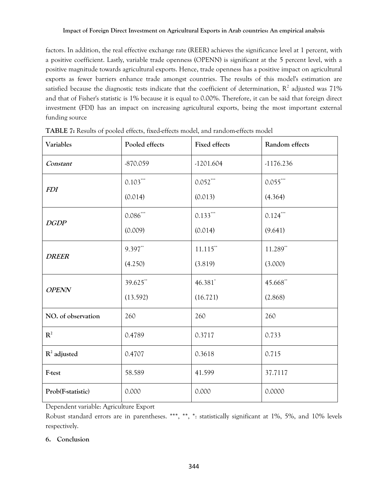factors. In addition, the real effective exchange rate (REER) achieves the significance level at 1 percent, with a positive coefficient. Lastly, variable trade openness (OPENN) is significant at the 5 percent level, with a positive magnitude towards agricultural exports. Hence, trade openness has a positive impact on agricultural exports as fewer barriers enhance trade amongst countries. The results of this model's estimation are satisfied because the diagnostic tests indicate that the coefficient of determination,  $R^2$  adjusted was 71% and that of Fisher's statistic is 1% because it is equal to 0.00%. Therefore, it can be said that foreign direct investment (FDI) has an impact on increasing agricultural exports, being the most important external funding source

| Variables          | Pooled effects | <b>Fixed effects</b> | Random effects |
|--------------------|----------------|----------------------|----------------|
| Constant           | -870.059       | $-1201.604$          | $-1176.236$    |
| <b>FDI</b>         | $0.103***$     | $0.052***$           | $0.055***$     |
|                    | (0.014)        | (0.013)              | (4.364)        |
| <b>DGDP</b>        | $0.086***$     | $0.133***$           | $0.124***$     |
|                    | (0.009)        | (0.014)              | (9.641)        |
| <b>DREER</b>       | 9.397**        | $11.115***$          | $11.289**$     |
|                    | (4.250)        | (3.819)              | (3.000)        |
| <b>OPENN</b>       | 39.625**       | 46.381*              | 45.668**       |
|                    | (13.592)       | (16.721)             | (2.868)        |
| NO. of observation | 260            | 260                  | 260            |
| $\mathbb{R}^2$     | 0.4789         | 0.3717               | 0.733          |
| $R^2$ adjusted     | 0.4707         | 0.3618               | 0.715          |
| F-test             | 58.589         | 41.599               | 37.7117        |
| Prob(F-statistic)  | 0.000          | 0.000                | 0.0000         |

| TABLE 7: Results of pooled effects, fixed-effects model, and random-effects model |  |  |  |
|-----------------------------------------------------------------------------------|--|--|--|
|-----------------------------------------------------------------------------------|--|--|--|

Dependent variable: Agriculture Export

Robust standard errors are in parentheses. \*\*\*, \*\*, \*: statistically significant at 1%, 5%, and 10% levels respectively.

# **6. Conclusion**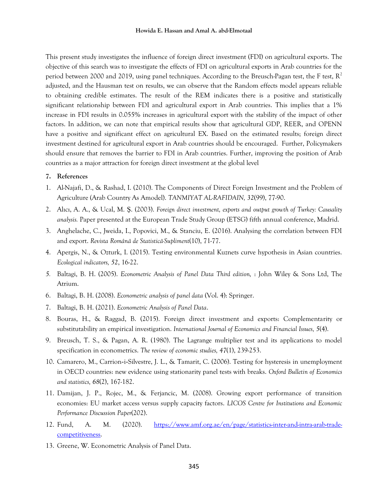This present study investigates the influence of foreign direct investment (FDI) on agricultural exports. The objective of this search was to investigate the effects of FDI on agricultural exports in Arab countries for the period between 2000 and 2019, using panel techniques. According to the Breusch-Pagan test, the F test,  $R^2$ adjusted, and the Hausman test on results, we can observe that the Random effects model appears reliable to obtaining credible estimates. The result of the REM indicates there is a positive and statistically significant relationship between FDI and agricultural export in Arab countries. This implies that a 1% increase in FDI results in 0.055% increases in agricultural export with the stability of the impact of other factors. In addition, we can note that empirical results show that agricultural GDP, REER, and OPENN have a positive and significant effect on agricultural EX. Based on the estimated results; foreign direct investment destined for agricultural export in Arab countries should be encouraged. Further, Policymakers should ensure that removes the barrier to FDI in Arab countries. Further, improving the position of Arab countries as a major attraction for foreign direct investment at the global level

## **7. References**

- <span id="page-10-5"></span>1. Al-Najafi, D., & Rashad, I. (2010). The Components of Direct Foreign Investment and the Problem of Agriculture (Arab Country As Amodel). *TANMIYAT AL-RAFIDAIN, 32*(99), 77-90.
- <span id="page-10-1"></span>2. Alıcı, A. A., & Ucal, M. Ş. (2003). *Foreign direct investment, exports and output growth of Turkey: Causality analysis.* Paper presented at the European Trade Study Group (ETSG) fifth annual conference, Madrid.
- <span id="page-10-4"></span>3. Anghelache, C., Jweida, I., Popovici, M., & Stanciu, E. (2016). Analysing the correlation between FDI and export. *Revista Românã de Statisticã-Supliment*(10), 71-77.
- <span id="page-10-12"></span>4. Apergis, N., & Ozturk, I. (2015). Testing environmental Kuznets curve hypothesis in Asian countries. *Ecological indicators, 52*, 16-22.
- <span id="page-10-9"></span>*5.* Baltagi, B. H. (2005). *Econometric Analysis of Panel Data Third edition,* : John Wiley & Sons Ltd, The Atrium.
- <span id="page-10-6"></span>6. Baltagi, B. H. (2008). *Econometric analysis of panel data* (Vol. 4): Springer.
- <span id="page-10-7"></span>7. Baltagi, B. H. (2021). *Econometric Analysis of Panel Data*.
- <span id="page-10-3"></span>8. Bouras, H., & Raggad, B. (2015). Foreign direct investment and exports: Complementarity or substitutability an empirical investigation. *International Journal of Economics and Financial Issues, 5*(4).
- <span id="page-10-10"></span>9. Breusch, T. S., & Pagan, A. R. (1980). The Lagrange multiplier test and its applications to model specification in econometrics. *The review of economic studies, 47*(1), 239-253.
- <span id="page-10-11"></span>10. Camarero, M., Carrion‐i‐Silvestre, J. L., & Tamarit, C. (2006). Testing for hysteresis in unemployment in OECD countries: new evidence using stationarity panel tests with breaks. *Oxford Bulletin of Economics and statistics, 68*(2), 167-182.
- <span id="page-10-2"></span>11. Damijan, J. P., Rojec, M., & Ferjancic, M. (2008). Growing export performance of transition economies: EU market access versus supply capacity factors. *LICOS Centre for Institutions and Economic Performance Discussion Paper*(202).
- <span id="page-10-0"></span>12. Fund, A. M. (2020). [https://www.amf.org.ae/en/page/statistics-inter-and-intra-arab-trade](https://www.amf.org.ae/en/page/statistics-inter-and-intra-arab-trade-competitiveness)[competitiveness.](https://www.amf.org.ae/en/page/statistics-inter-and-intra-arab-trade-competitiveness)
- <span id="page-10-8"></span>13. Greene, W. Econometric Analysis of Panel Data.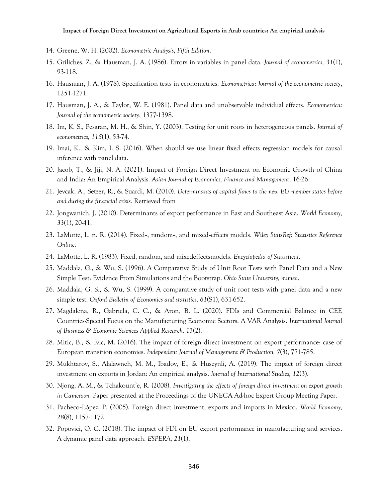- <span id="page-11-9"></span>14. Greene, W. H. (2002). *Econometric Analysis, Fifth Edition*.
- <span id="page-11-15"></span>15. Griliches, Z., & Hausman, J. A. (1986). Errors in variables in panel data. *Journal of econometrics, 31*(1), 93-118.
- <span id="page-11-10"></span>16. Hausman, J. A. (1978). Specification tests in econometrics. *Econometrica: Journal of the econometric society*, 1251-1271.
- <span id="page-11-14"></span>17. Hausman, J. A., & Taylor, W. E. (1981). Panel data and unobservable individual effects. *Econometrica: Journal of the econometric society*, 1377-1398.
- <span id="page-11-16"></span>18. Im, K. S., Pesaran, M. H., & Shin, Y. (2003). Testing for unit roots in heterogeneous panels. *Journal of econometrics, 115*(1), 53-74.
- <span id="page-11-12"></span>19. Imai, K., & Kim, I. S. (2016). When should we use linear fixed effects regression models for causal inference with panel data.
- <span id="page-11-0"></span>20. Jacob, T., & Jiji, N. A. (2021). Impact of Foreign Direct Investment on Economic Growth of China and India: An Empirical Analysis. *Asian Journal of Economics, Finance and Management*, 16-26.
- <span id="page-11-3"></span>21. Jevcak, A., Setzer, R., & Suardi, M. (2010). *Determinants of capital flows to the new EU member states before and during the financial crisis*. Retrieved from
- <span id="page-11-4"></span>22. Jongwanich, J. (2010). Determinants of export performance in East and Southeast Asia. *World Economy, 33*(1), 20-41.
- <span id="page-11-13"></span>23. LaMotte, L. n. R. (2014). Fixed‐, random‐, and mixed‐effects models. *Wiley StatsRef: Statistics Reference Online*.
- <span id="page-11-11"></span>24. LaMotte, L. R. (1983). Fixed, random, and mixedeffectsmodels. *Encyclopedia of Statistical*.
- <span id="page-11-17"></span>25. Maddala, G., & Wu, S. (1996). A Comparative Study of Unit Root Tests with Panel Data and a New Simple Test: Evidence From Simulations and the Bootstrap. *Ohio State University, mimeo*.
- <span id="page-11-18"></span>26. Maddala, G. S., & Wu, S. (1999). A comparative study of unit root tests with panel data and a new simple test. *Oxford Bulletin of Economics and statistics, 61*(S1), 631-652.
- <span id="page-11-7"></span>27. Magdalena, R., Gabriela, C. C., & Aron, B. L. (2020). FDIs and Commercial Balance in CEE Countries-Special Focus on the Manufacturing Economic Sectors. A VAR Analysis. *International Journal of Business & Economic Sciences Applied Research, 13*(2).
- <span id="page-11-5"></span>28. Mitic, B., & Ivic, M. (2016). The impact of foreign direct investment on export performance: case of European transition economies. *Independent Journal of Management & Production, 7*(3), 771-785.
- <span id="page-11-8"></span>29. Mukhtarov, S., Alalawneh, M. M., Ibadov, E., & Huseynli, A. (2019). The impact of foreign direct investment on exports in Jordan: An empirical analysis. *Journal of International Studies, 12*(3).
- <span id="page-11-2"></span>30. Njong, A. M., & Tchakount'e, R. (2008). *Investigating the effects of foreign direct investment on export growth in Cameroon.* Paper presented at the Proceedings of the UNECA Ad-hoc Expert Group Meeting Paper.
- <span id="page-11-1"></span>31. Pacheco‐López, P. (2005). Foreign direct investment, exports and imports in Mexico. *World Economy, 28*(8), 1157-1172.
- <span id="page-11-6"></span>32. Popovici, O. C. (2018). The impact of FDI on EU export performance in manufacturing and services. A dynamic panel data approach. *ESPERA, 21*(1).